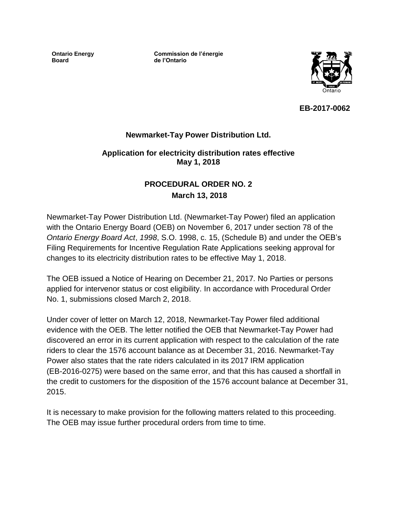**Ontario Energy Board**

**Commission de l'énergie de l'Ontario**



**EB-2017-0062**

### **Newmarket-Tay Power Distribution Ltd.**

#### **Application for electricity distribution rates effective May 1, 2018**

## **PROCEDURAL ORDER NO. 2 March 13, 2018**

Newmarket-Tay Power Distribution Ltd. (Newmarket-Tay Power) filed an application with the Ontario Energy Board (OEB) on November 6, 2017 under section 78 of the *Ontario Energy Board Act*, *1998*, S.O. 1998, c. 15, (Schedule B) and under the OEB's Filing Requirements for Incentive Regulation Rate Applications seeking approval for changes to its electricity distribution rates to be effective May 1, 2018.

The OEB issued a Notice of Hearing on December 21, 2017*.* No Parties or persons applied for intervenor status or cost eligibility. In accordance with Procedural Order No. 1, submissions closed March 2, 2018.

Under cover of letter on March 12, 2018, Newmarket-Tay Power filed additional evidence with the OEB. The letter notified the OEB that Newmarket-Tay Power had discovered an error in its current application with respect to the calculation of the rate riders to clear the 1576 account balance as at December 31, 2016. Newmarket-Tay Power also states that the rate riders calculated in its 2017 IRM application (EB-2016-0275) were based on the same error, and that this has caused a shortfall in the credit to customers for the disposition of the 1576 account balance at December 31, 2015.

It is necessary to make provision for the following matters related to this proceeding. The OEB may issue further procedural orders from time to time.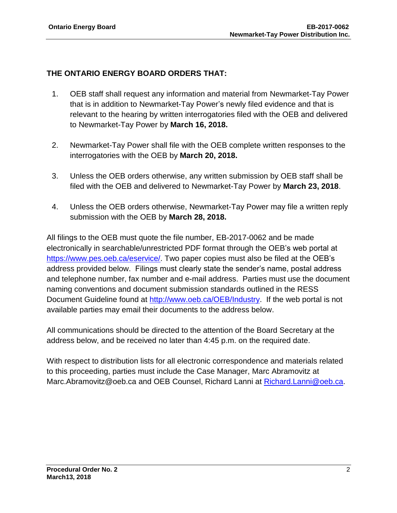# **THE ONTARIO ENERGY BOARD ORDERS THAT:**

- 1. OEB staff shall request any information and material from Newmarket-Tay Power that is in addition to Newmarket-Tay Power's newly filed evidence and that is relevant to the hearing by written interrogatories filed with the OEB and delivered to Newmarket-Tay Power by **March 16, 2018.**
- 2. Newmarket-Tay Power shall file with the OEB complete written responses to the interrogatories with the OEB by **March 20, 2018.**
- 3. Unless the OEB orders otherwise, any written submission by OEB staff shall be filed with the OEB and delivered to Newmarket-Tay Power by **March 23, 2018**.
- 4. Unless the OEB orders otherwise, Newmarket-Tay Power may file a written reply submission with the OEB by **March 28, 2018.**

All filings to the OEB must quote the file number, EB-2017-0062 and be made electronically in searchable/unrestricted PDF format through the OEB's web portal at [https://www.pes.oeb.ca/eservice/.](https://www.pes.ontarioenergyboard.ca/eservice/) Two paper copies must also be filed at the OEB's address provided below. Filings must clearly state the sender's name, postal address and telephone number, fax number and e-mail address. Parties must use the document naming conventions and document submission standards outlined in the RESS Document Guideline found at [http://www.oeb.ca/OEB/Industry.](http://www.oeb.ca/OEB/Industry) If the web portal is not available parties may email their documents to the address below.

All communications should be directed to the attention of the Board Secretary at the address below, and be received no later than 4:45 p.m. on the required date.

With respect to distribution lists for all electronic correspondence and materials related to this proceeding, parties must include the Case Manager, Marc Abramovitz at Marc.Abramovitz@oeb.ca and OEB Counsel, Richard Lanni at [Richard.Lanni@oeb.ca.](mailto:Richard.Lanni@ontarioenergyboard.ca)